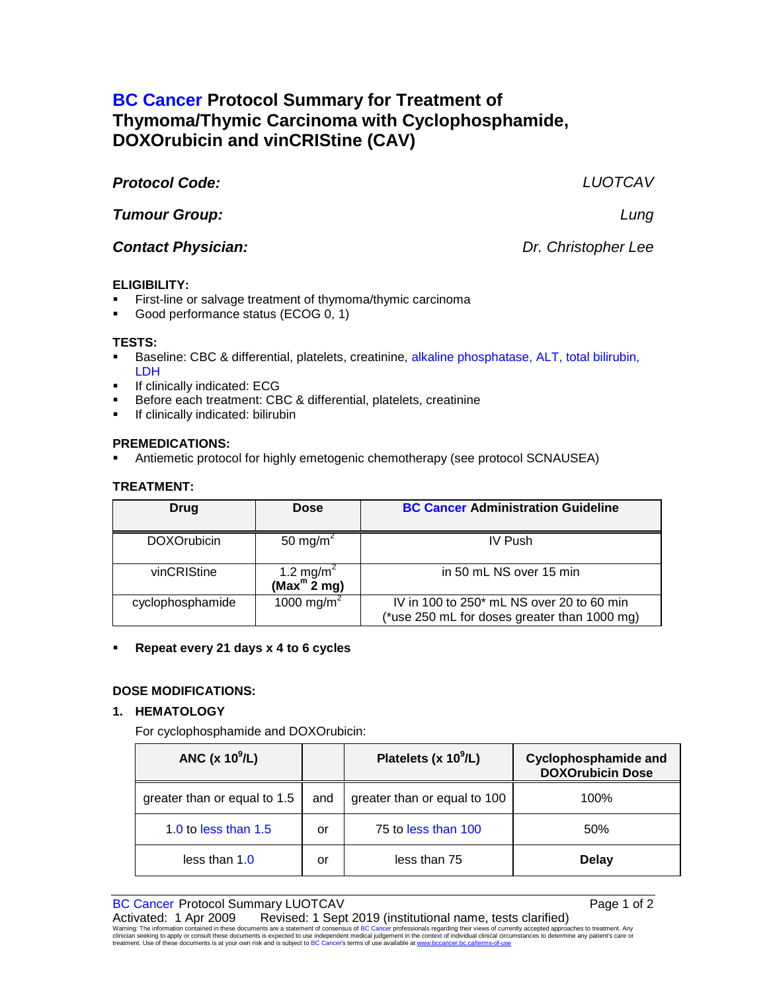# **BC Cancer Protocol Summary for Treatment of Thymoma/Thymic Carcinoma with Cyclophosphamide, DOXOrubicin and vinCRIStine (CAV)**

# *Protocol Code: LUOTCAV*

*Tumour Group: Lung*

*Contact Physician: Dr. Christopher Lee*

# **ELIGIBILITY:**

- First-line or salvage treatment of thymoma/thymic carcinoma
- Good performance status (ECOG 0, 1)

## **TESTS:**

- Baseline: CBC & differential, platelets, creatinine, alkaline phosphatase, ALT, total bilirubin, LDH
- If clinically indicated: ECG
- Before each treatment: CBC & differential, platelets, creatinine
- If clinically indicated: bilirubin

## **PREMEDICATIONS:**

Antiemetic protocol for highly emetogenic chemotherapy (see protocol SCNAUSEA)

## **TREATMENT:**

| Drug               | <b>Dose</b>                                                | <b>BC Cancer Administration Guideline</b>                                                 |
|--------------------|------------------------------------------------------------|-------------------------------------------------------------------------------------------|
| <b>DOXOrubicin</b> | 50 mg/m <sup>2</sup>                                       | <b>IV Push</b>                                                                            |
| vinCRIStine        | 1.2 mg/m <sup>2</sup><br>(Max <sup>m</sup> $\tilde{2}$ mg) | in 50 mL NS over 15 min                                                                   |
| cyclophosphamide   | 1000 mg/m <sup>2</sup>                                     | IV in 100 to 250* mL NS over 20 to 60 min<br>(*use 250 mL for doses greater than 1000 mg) |

## **Repeat every 21 days x 4 to 6 cycles**

## **DOSE MODIFICATIONS:**

## **1. HEMATOLOGY**

For cyclophosphamide and DOXOrubicin:

| ANC $(x 10^9/L)$             |     | Platelets (x $10^9$ /L)      | <b>Cyclophosphamide and</b><br><b>DOXOrubicin Dose</b> |
|------------------------------|-----|------------------------------|--------------------------------------------------------|
| greater than or equal to 1.5 | and | greater than or equal to 100 | 100%                                                   |
| 1.0 to less than $1.5$       | or  | 75 to less than 100          | 50%                                                    |
| less than $1.0$              | or  | less than 75                 | Delay                                                  |